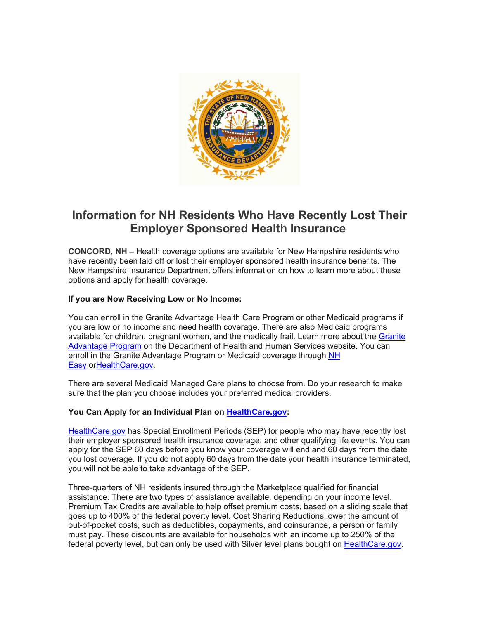

# **Information for NH Residents Who Have Recently Lost Their Employer Sponsored Health Insurance**

**CONCORD, NH** – Health coverage options are available for New Hampshire residents who have recently been laid off or lost their employer sponsored health insurance benefits. The New Hampshire Insurance Department offers information on how to learn more about these options and apply for health coverage.

# **If you are Now Receiving Low or No Income:**

You can enroll in the Granite Advantage Health Care Program or other Medicaid programs if you are low or no income and need health coverage. There are also Medicaid programs available for children, pregnant women, and the medically frail. Learn more about the Granite Advantage Program on the Department of Health and Human Services website. You can enroll in the Granite Advantage Program or Medicaid coverage through NH Easy orHealthCare.gov.

There are several Medicaid Managed Care plans to choose from. Do your research to make sure that the plan you choose includes your preferred medical providers.

# **You Can Apply for an Individual Plan on HealthCare.gov:**

HealthCare.gov has Special Enrollment Periods (SEP) for people who may have recently lost their employer sponsored health insurance coverage, and other qualifying life events. You can apply for the SEP 60 days before you know your coverage will end and 60 days from the date you lost coverage. If you do not apply 60 days from the date your health insurance terminated, you will not be able to take advantage of the SEP.

Three-quarters of NH residents insured through the Marketplace qualified for financial assistance. There are two types of assistance available, depending on your income level. Premium Tax Credits are available to help offset premium costs, based on a sliding scale that goes up to 400% of the federal poverty level. Cost Sharing Reductions lower the amount of out-of-pocket costs, such as deductibles, copayments, and coinsurance, a person or family must pay. These discounts are available for households with an income up to 250% of the federal poverty level, but can only be used with Silver level plans bought on HealthCare.gov.